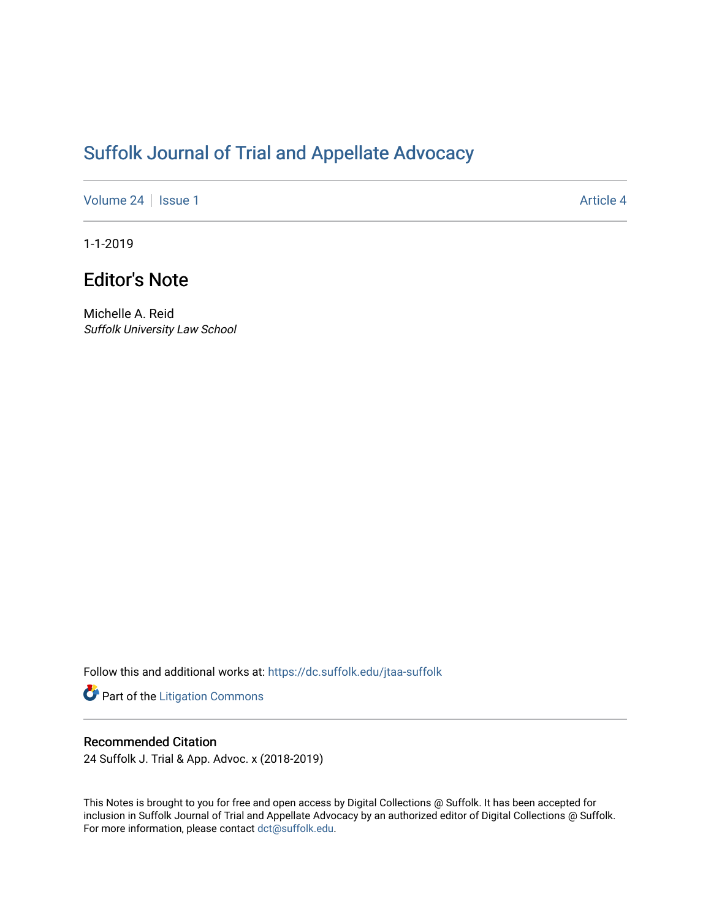# [Suffolk Journal of Trial and Appellate Advocacy](https://dc.suffolk.edu/jtaa-suffolk)

[Volume 24](https://dc.suffolk.edu/jtaa-suffolk/vol24) | [Issue 1](https://dc.suffolk.edu/jtaa-suffolk/vol24/iss1) Article 4

1-1-2019

## Editor's Note

Michelle A. Reid Suffolk University Law School

Follow this and additional works at: [https://dc.suffolk.edu/jtaa-suffolk](https://dc.suffolk.edu/jtaa-suffolk?utm_source=dc.suffolk.edu%2Fjtaa-suffolk%2Fvol24%2Fiss1%2F4&utm_medium=PDF&utm_campaign=PDFCoverPages) 

Part of the [Litigation Commons](https://network.bepress.com/hgg/discipline/910?utm_source=dc.suffolk.edu%2Fjtaa-suffolk%2Fvol24%2Fiss1%2F4&utm_medium=PDF&utm_campaign=PDFCoverPages)

#### Recommended Citation

24 Suffolk J. Trial & App. Advoc. x (2018-2019)

This Notes is brought to you for free and open access by Digital Collections @ Suffolk. It has been accepted for inclusion in Suffolk Journal of Trial and Appellate Advocacy by an authorized editor of Digital Collections @ Suffolk. For more information, please contact [dct@suffolk.edu](mailto:dct@suffolk.edu).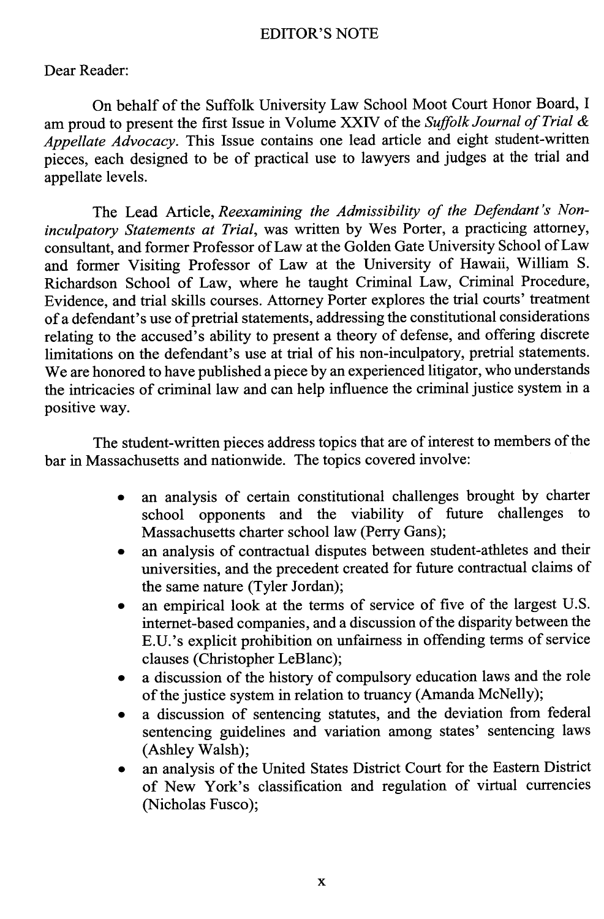#### EDITOR'S **NOTE**

### Dear Reader:

On behalf of the Suffolk University Law School Moot Court Honor Board, **I** am proud to present the first Issue in Volume XXIV of the *Suffolk Journal of Trial Appellate Advocacy.* This Issue contains one lead article and eight student-written pieces, each designed to be of practical use to lawyers and judges at the trial and appellate levels.

The Lead Article, *Reexamining the Admissibility of the Defendant's Noninculpatory Statements at Trial,* was written **by** Wes Porter, a practicing attorney, consultant, and former Professor of Law at the Golden Gate University School of Law and former Visiting Professor of Law at the University of Hawaii, William **S.** Richardson School of Law, where he taught Criminal Law, Criminal Procedure, Evidence, and trial skills courses. Attorney Porter explores the trial courts' treatment of a defendant's use of pretrial statements, addressing the constitutional considerations relating to the accused's ability to present a theory of defense, and offering discrete limitations on the defendant's use at trial of his non-inculpatory, pretrial statements. We are honored to have published a piece **by** an experienced litigator, who understands the intricacies of criminal law and can help influence the criminal justice system in a positive way.

The student-written pieces address topics that are of interest to members of the bar in Massachusetts and nationwide. The topics covered involve:

- \* an analysis of certain constitutional challenges brought **by** charter school opponents and the viability of future challenges to Massachusetts charter school law (Perry Gans);
- an analysis of contractual disputes between student-athletes and their universities, and the precedent created for future contractual claims of the same nature (Tyler Jordan);
- an empirical look at the terms of service of five of the largest U.S. internet-based companies, and a discussion of the disparity between the E.U.'s explicit prohibition on unfairness in offending terms of service clauses (Christopher LeBlanc);
- a discussion of the history of compulsory education laws and the role of the justice system in relation to truancy (Amanda McNelly);
- a discussion of sentencing statutes, and the deviation from federal sentencing guidelines and variation among states' sentencing laws (Ashley Walsh);
- an analysis of the United States District Court for the Eastern District of New York's classification and regulation of virtual currencies (Nicholas Fusco);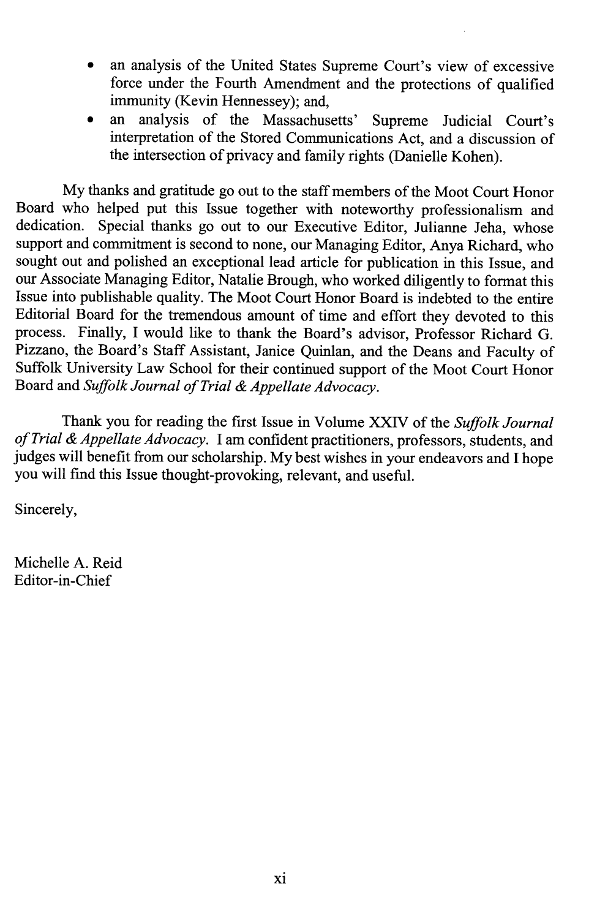- an analysis of the United States Supreme Court's view of excessive force under the Fourth Amendment and the protections of qualified immunity (Kevin Hennessey); and,
- an analysis of the Massachusetts' Supreme Judicial Court's interpretation of the Stored Communications Act, and a discussion of the intersection of privacy and family rights (Danielle Kohen).

**My** thanks and gratitude go out to the staff members of the Moot Court Honor Board who helped put this Issue together with noteworthy professionalism and dedication. Special thanks go out to our Executive Editor. Julianne Jeha whose Special thanks go out to our Executive Editor, Julianne Jeha, whose support and commitment is second to none, our Managing Editor, Anya Richard, who sought out and polished an exceptional lead article for publication in this Issue, and our Associate Managing Editor, Natalie Brough, who worked diligently to format this Issue into publishable quality. The Moot Court Honor Board is indebted to the entire Editorial Board for the tremendous amount of time and effort they devoted to this process. Finally, **I** would like to thank the Board's advisor, Professor Richard **G.** Pizzano, the Board's Staff Assistant, Janice Quinlan, and the Deans and Faculty of Suffolk University Law School for their continued support of the Moot Court Honor Board and *Suffolk Journal of Trial & Appellate Advocacy.*

Thank you for reading the first Issue in Volume **XXIV** of the *Suffolk Journal of Trial & Appellate Advocacy. I* am confident practitioners, professors, students, and judges will benefit from our scholarship. **My** best wishes in your endeavors and I hope you will find this Issue thought-provoking, relevant, and useful.

Sincerely,

Michelle **A.** Reid Editor-in-Chief